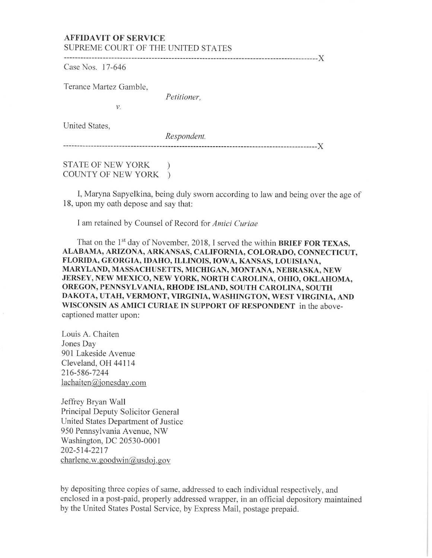## AFFIDAVIT OF SERVICE SUPREME COURT *OF* THE UNITED STATES

Case Nos. 17-646

Terance Martez Gamble,

*Petitioner,* 

United States,

*Respondent.* 

------------------------------------------------------------------------------------------)(

------------------------------------------------------------------------------------------)(

STATE OF NEW YORK ) COUNTY OF NEW YORK )

*v.* 

I, Maryna Sapyelkina, being duly sworn according to law and being over the age of 18, upon my oath depose and say that:

I am retained by Counsel of Record for *Amici Curiae* 

That on the 1<sup>st</sup> day of November, 2018, I served the within BRIEF FOR TEXAS, ALABAMA, ARIZONA, ARKANSAS, CALIFORNIA, COLORADO, CONNECTICUT, FLORIDA, GEORGIA, IDAHO, ILLINOIS, lOW A, KANSAS, LOUISIANA, MARYLAND, MASSACHUSETTS, MICHIGAN, MONTANA, NEBRASKA, NEW JERSEY, NEW MEXICO, NEW YORK, NORTH CAROLINA, OHIO, OKLAHOMA, OREGON, PENNSYLVANIA, RHODE ISLAND, SOUTH CAROLINA, SOUTH DAKOTA, UTAH, VERMONT, VIRGINIA, WASHINGTON, WEST VIRGINIA, AND WISCONSIN AS AMICI CURIAE IN SUPPORT OF RESPONDENT in the abovecaptioned matter upon:

Louis A. Chaiten Jones Day 901 Lakeside Avenue Cleveland, OH 44114 216-586-7244  $lachaiten@jonesday.com$ 

Jeffrey Bryan Wall Principal Deputy Solicitor General United States Department of Justice 950 Pennsylvania A venue, NW Washington, DC 20530-0001 202-514-2217 charlene.w.goodwin@usdoj.gov

by depositing three copies of same, addressed to each individual respectively, and enclosed in a post-paid, properly addressed wrapper, in an official depository maintained by the United States Postal Service, by Express Mail, postage prepaid.